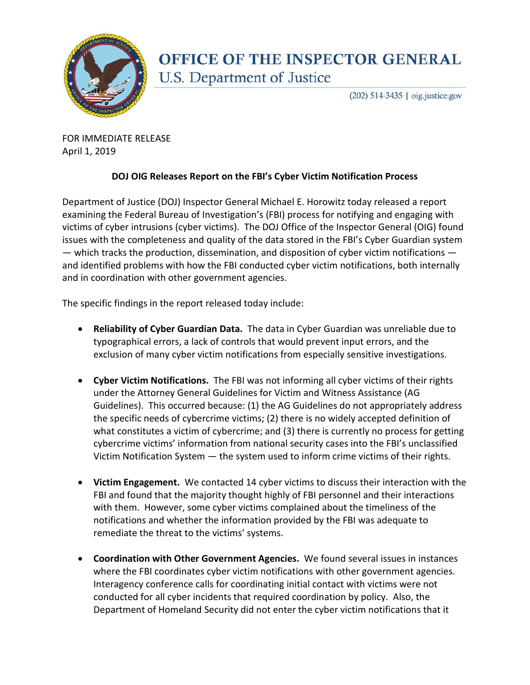

## **OFFICE OF THE INSPECTOR GENERAL** U.S. Department of Justice

(202) 514-3435 | oig.justice.gov

FOR IMMEDIATE RELEASE April 1, 2019

## **DOJ OIG Releases Report on the FBI's Cyber Victim Notification Process**

Department of Justice (DOJ) Inspector General Michael E. Horowitz today released a report examining the Federal Bureau of Investigation's (FBI) process for notifying and engaging with victims of cyber intrusions (cyber victims). The DOJ Office of the Inspector General (OIG) found issues with the completeness and quality of the data stored in the FBI's Cyber Guardian system  $-$  which tracks the production, dissemination, and disposition of cyber victim notifications  $$ and identified problems with how the FBI conducted cyber victim notifications, both internally and in coordination with other government agencies.

The specific findings in the report released today include:

- **Reliability of Cyber Guardian Data.** The data in Cyber Guardian was unreliable due to typographical errors, a lack of controls that would prevent input errors, and the exclusion of many cyber victim notifications from especially sensitive investigations.
- **Cyber Victim Notifications.** The FBI was not informing all cyber victims of their rights under the Attorney General Guidelines for Victim and Witness Assistance (AG Guidelines). This occurred because: (1) the AG Guidelines do not appropriately address the specific needs of cybercrime victims; (2) there is no widely accepted definition of what constitutes a victim of cybercrime; and (3) there is currently no process for getting cybercrime victims' information from national security cases into the FBI's unclassified Victim Notification System — the system used to inform crime victims of their rights.
- **Victim Engagement.** We contacted 14 cyber victims to discuss their interaction with the FBI and found that the majority thought highly of FBI personnel and their interactions with them. However, some cyber victims complained about the timeliness of the notifications and whether the information provided by the FBI was adequate to remediate the threat to the victims' systems.
- **Coordination with Other Government Agencies.** We found several issues in instances where the FBI coordinates cyber victim notifications with other government agencies. Interagency conference calls for coordinating initial contact with victims were not conducted for all cyber incidents that required coordination by policy. Also, the Department of Homeland Security did not enter the cyber victim notifications that it